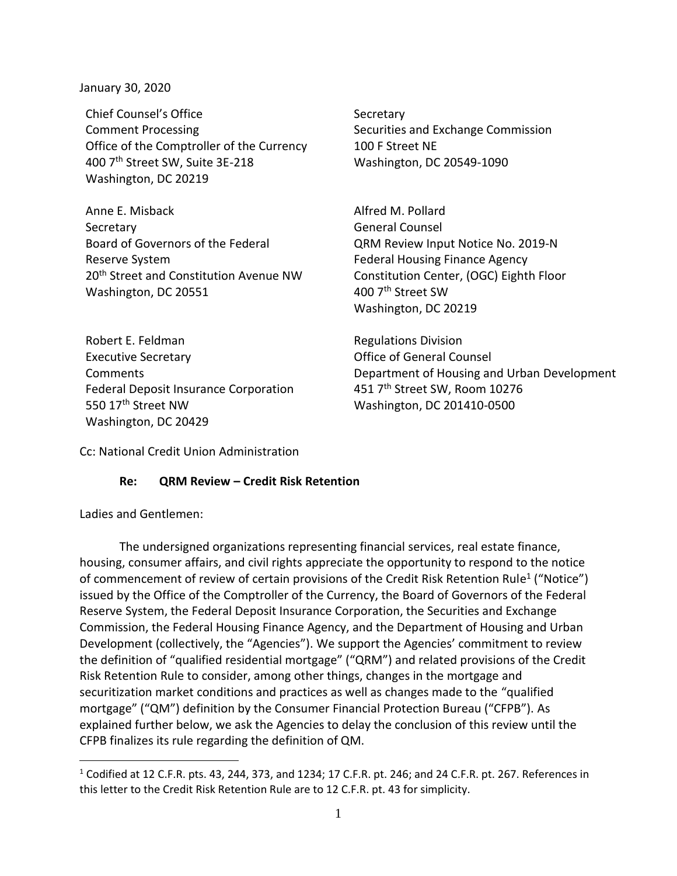January 30, 2020

Chief Counsel's Office Secretary Comment Processing The Securities and Exchange Commission Office of the Comptroller of the Currency 100 F Street NE 400 7th Street SW, Suite 3E-218 Washington, DC 20549-1090 Washington, DC 20219

Anne E. Misback Alfred M. Pollard Secretary **General Counsel** Board of Governors of the Federal Reserve System 20<sup>th</sup> Street and Constitution Avenue NW Constitution Center, (OGC) Eighth Floor Washington, DC 20551 400 7<sup>th</sup> Street SW

QRM Review Input Notice No. 2019-N Federal Housing Finance Agency Washington, DC 20219

Robert E. Feldman Regulations Division Executive Secretary Office of General Counsel Federal Deposit Insurance Corporation  $451$   $7<sup>th</sup>$  Street SW, Room 10276 550 17<sup>th</sup> Street NW Washington, DC 201410-0500 Washington, DC 20429

Comments Department of Housing and Urban Development

Cc: National Credit Union Administration

## **Re: QRM Review – Credit Risk Retention**

Ladies and Gentlemen:

The undersigned organizations representing financial services, real estate finance, housing, consumer affairs, and civil rights appreciate the opportunity to respond to the notice of commencement of review of certain provisions of the Credit Risk Retention Rule<sup>1</sup> ("Notice") issued by the Office of the Comptroller of the Currency, the Board of Governors of the Federal Reserve System, the Federal Deposit Insurance Corporation, the Securities and Exchange Commission, the Federal Housing Finance Agency, and the Department of Housing and Urban Development (collectively, the "Agencies"). We support the Agencies' commitment to review the definition of "qualified residential mortgage" ("QRM") and related provisions of the Credit Risk Retention Rule to consider, among other things, changes in the mortgage and securitization market conditions and practices as well as changes made to the "qualified mortgage" ("QM") definition by the Consumer Financial Protection Bureau ("CFPB"). As explained further below, we ask the Agencies to delay the conclusion of this review until the CFPB finalizes its rule regarding the definition of QM.

 $1$  Codified at 12 C.F.R. pts. 43, 244, 373, and 1234; 17 C.F.R. pt. 246; and 24 C.F.R. pt. 267. References in this letter to the Credit Risk Retention Rule are to 12 C.F.R. pt. 43 for simplicity.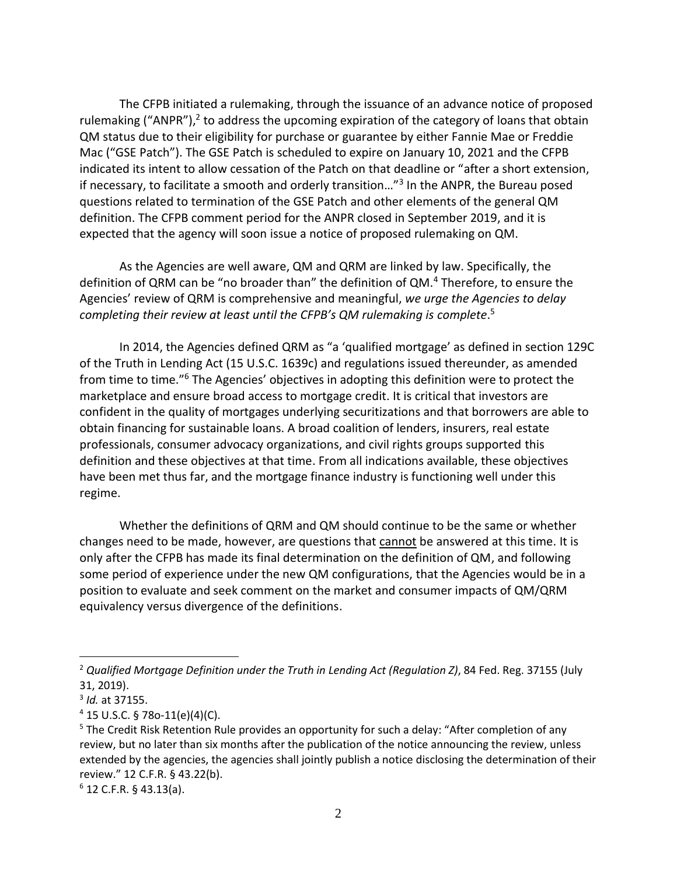The CFPB initiated a rulemaking, through the issuance of an advance notice of proposed rulemaking ("ANPR"),<sup>2</sup> to address the upcoming expiration of the category of loans that obtain QM status due to their eligibility for purchase or guarantee by either Fannie Mae or Freddie Mac ("GSE Patch"). The GSE Patch is scheduled to expire on January 10, 2021 and the CFPB indicated its intent to allow cessation of the Patch on that deadline or "after a short extension, if necessary, to facilitate a smooth and orderly transition..."<sup>3</sup> In the ANPR, the Bureau posed questions related to termination of the GSE Patch and other elements of the general QM definition. The CFPB comment period for the ANPR closed in September 2019, and it is expected that the agency will soon issue a notice of proposed rulemaking on QM.

As the Agencies are well aware, QM and QRM are linked by law. Specifically, the definition of QRM can be "no broader than" the definition of QM.<sup>4</sup> Therefore, to ensure the Agencies' review of QRM is comprehensive and meaningful, *we urge the Agencies to delay*  completing their review at least until the CFPB's QM rulemaking is complete.<sup>5</sup>

In 2014, the Agencies defined QRM as "a 'qualified mortgage' as defined in section 129C of the Truth in Lending Act (15 U.S.C. 1639c) and regulations issued thereunder, as amended from time to time."<sup>6</sup> The Agencies' objectives in adopting this definition were to protect the marketplace and ensure broad access to mortgage credit. It is critical that investors are confident in the quality of mortgages underlying securitizations and that borrowers are able to obtain financing for sustainable loans. A broad coalition of lenders, insurers, real estate professionals, consumer advocacy organizations, and civil rights groups supported this definition and these objectives at that time. From all indications available, these objectives have been met thus far, and the mortgage finance industry is functioning well under this regime.

Whether the definitions of QRM and QM should continue to be the same or whether changes need to be made, however, are questions that cannot be answered at this time. It is only after the CFPB has made its final determination on the definition of QM, and following some period of experience under the new QM configurations, that the Agencies would be in a position to evaluate and seek comment on the market and consumer impacts of QM/QRM equivalency versus divergence of the definitions.

<sup>2</sup> *Qualified Mortgage Definition under the Truth in Lending Act (Regulation Z)*, 84 Fed. Reg. 37155 (July 31, 2019).

<sup>3</sup> *Id.* at 37155.

 $4$  15 U.S.C. § 78o-11(e)(4)(C).

<sup>&</sup>lt;sup>5</sup> The Credit Risk Retention Rule provides an opportunity for such a delay: "After completion of any review, but no later than six months after the publication of the notice announcing the review, unless extended by the agencies, the agencies shall jointly publish a notice disclosing the determination of their review." 12 C.F.R. § 43.22(b).

 $6$  12 C.F.R. § 43.13(a).